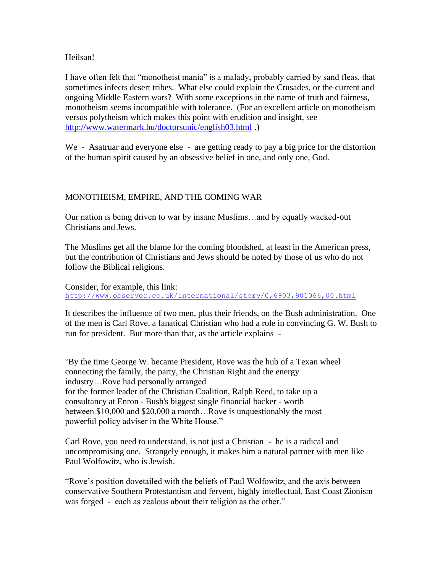### Heilsan!

I have often felt that "monotheist mania" is a malady, probably carried by sand fleas, that sometimes infects desert tribes. What else could explain the Crusades, or the current and ongoing Middle Eastern wars? With some exceptions in the name of truth and fairness, monotheism seems incompatible with tolerance. (For an excellent article on monotheism versus polytheism which makes this point with erudition and insight, see <http://www.watermark.hu/doctorsunic/english03.html> .)

We - Asatruar and everyone else - are getting ready to pay a big price for the distortion of the human spirit caused by an obsessive belief in one, and only one, God.

# MONOTHEISM, EMPIRE, AND THE COMING WAR

Our nation is being driven to war by insane Muslims…and by equally wacked-out Christians and Jews.

The Muslims get all the blame for the coming bloodshed, at least in the American press, but the contribution of Christians and Jews should be noted by those of us who do not follow the Biblical religions.

Consider, for example, this link: <http://www.observer.co.uk/international/story/0,6903,901066,00.html>

It describes the influence of two men, plus their friends, on the Bush administration. One of the men is Carl Rove, a fanatical Christian who had a role in convincing G. W. Bush to run for president. But more than that, as the article explains -

"By the time George W. became President, Rove was the hub of a Texan wheel connecting the family, the party, the Christian Right and the energy industry…Rove had personally arranged for the former leader of the Christian Coalition, Ralph Reed, to take up a consultancy at Enron - Bush's biggest single financial backer - worth between \$10,000 and \$20,000 a month…Rove is unquestionably the most powerful policy adviser in the White House."

Carl Rove, you need to understand, is not just a Christian - he is a radical and uncompromising one. Strangely enough, it makes him a natural partner with men like Paul Wolfowitz, who is Jewish.

"Rove's position dovetailed with the beliefs of Paul Wolfowitz, and the axis between conservative Southern Protestantism and fervent, highly intellectual, East Coast Zionism was forged - each as zealous about their religion as the other."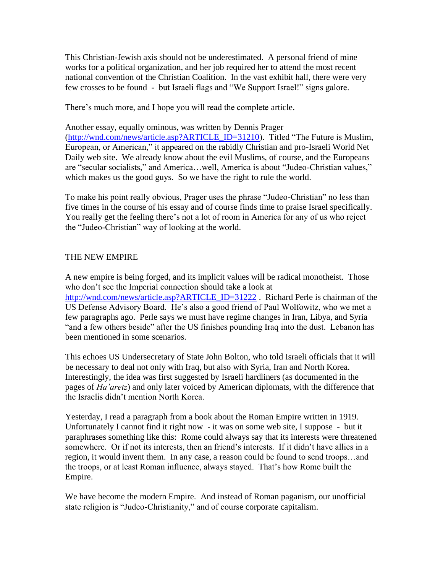This Christian-Jewish axis should not be underestimated. A personal friend of mine works for a political organization, and her job required her to attend the most recent national convention of the Christian Coalition. In the vast exhibit hall, there were very few crosses to be found - but Israeli flags and "We Support Israel!" signs galore.

There's much more, and I hope you will read the complete article.

Another essay, equally ominous, was written by Dennis Prager [\(http://wnd.com/news/article.asp?ARTICLE\\_ID=31210\)](http://wnd.com/news/article.asp?ARTICLE_ID=31210). Titled "The Future is Muslim, European, or American," it appeared on the rabidly Christian and pro-Israeli World Net Daily web site. We already know about the evil Muslims, of course, and the Europeans are "secular socialists," and America…well, America is about "Judeo-Christian values," which makes us the good guys. So we have the right to rule the world.

To make his point really obvious, Prager uses the phrase "Judeo-Christian" no less than five times in the course of his essay and of course finds time to praise Israel specifically. You really get the feeling there's not a lot of room in America for any of us who reject the "Judeo-Christian" way of looking at the world.

## THE NEW EMPIRE

A new empire is being forged, and its implicit values will be radical monotheist. Those who don't see the Imperial connection should take a look at [http://wnd.com/news/article.asp?ARTICLE\\_ID=31222](http://wnd.com/news/article.asp?ARTICLE_ID=31222). Richard Perle is chairman of the US Defense Advisory Board. He's also a good friend of Paul Wolfowitz, who we met a few paragraphs ago. Perle says we must have regime changes in Iran, Libya, and Syria "and a few others beside" after the US finishes pounding Iraq into the dust. Lebanon has been mentioned in some scenarios.

This echoes US Undersecretary of State John Bolton, who told Israeli officials that it will be necessary to deal not only with Iraq, but also with Syria, Iran and North Korea. Interestingly, the idea was first suggested by Israeli hardliners (as documented in the pages of *Ha'aretz*) and only later voiced by American diplomats, with the difference that the Israelis didn't mention North Korea.

Yesterday, I read a paragraph from a book about the Roman Empire written in 1919. Unfortunately I cannot find it right now - it was on some web site, I suppose - but it paraphrases something like this: Rome could always say that its interests were threatened somewhere. Or if not its interests, then an friend's interests. If it didn't have allies in a region, it would invent them. In any case, a reason could be found to send troops…and the troops, or at least Roman influence, always stayed. That's how Rome built the Empire.

We have become the modern Empire. And instead of Roman paganism, our unofficial state religion is "Judeo-Christianity," and of course corporate capitalism.